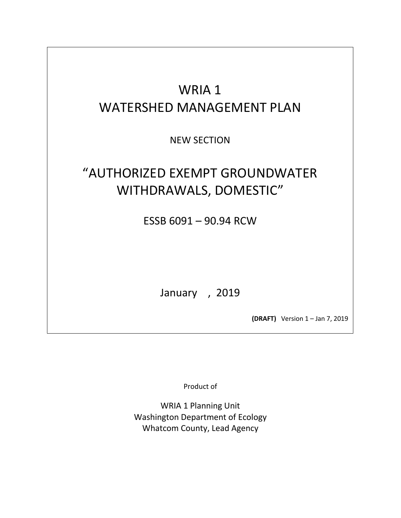# WRIA 1 WATERSHED MANAGEMENT PLAN

NEW SECTION

# "AUTHORIZED EXEMPT GROUNDWATER WITHDRAWALS, DOMESTIC"

ESSB 6091 – 90.94 RCW

January , 2019

**(DRAFT)** Version 1 – Jan 7, 2019

Product of

WRIA 1 Planning Unit Washington Department of Ecology Whatcom County, Lead Agency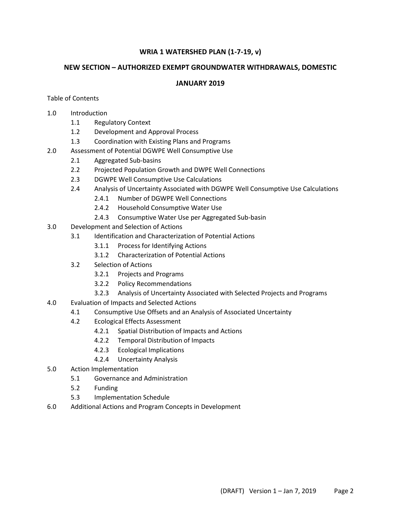# **WRIA 1 WATERSHED PLAN (1-7-19, v)**

# **NEW SECTION – AUTHORIZED EXEMPT GROUNDWATER WITHDRAWALS, DOMESTIC**

# **JANUARY 2019**

## Table of Contents

- 1.0 Introduction
	- 1.1 Regulatory Context
	- 1.2 Development and Approval Process
	- 1.3 Coordination with Existing Plans and Programs
- 2.0 Assessment of Potential DGWPE Well Consumptive Use
	- 2.1 Aggregated Sub-basins
	- 2.2 Projected Population Growth and DWPE Well Connections
	- 2.3 DGWPE Well Consumptive Use Calculations
	- 2.4 Analysis of Uncertainty Associated with DGWPE Well Consumptive Use Calculations
		- 2.4.1 Number of DGWPE Well Connections
		- 2.4.2 Household Consumptive Water Use
		- 2.4.3 Consumptive Water Use per Aggregated Sub-basin
- 3.0 Development and Selection of Actions
	- 3.1 Identification and Characterization of Potential Actions
		- 3.1.1 Process for Identifying Actions
		- 3.1.2 Characterization of Potential Actions
	- 3.2 Selection of Actions
		- 3.2.1 Projects and Programs
		- 3.2.2 Policy Recommendations
		- 3.2.3 Analysis of Uncertainty Associated with Selected Projects and Programs
- 4.0 Evaluation of Impacts and Selected Actions
	- 4.1 Consumptive Use Offsets and an Analysis of Associated Uncertainty
	- 4.2 Ecological Effects Assessment
		- 4.2.1 Spatial Distribution of Impacts and Actions
		- 4.2.2 Temporal Distribution of Impacts
		- 4.2.3 Ecological Implications
		- 4.2.4 Uncertainty Analysis
- 5.0 Action Implementation
	- 5.1 Governance and Administration
	- 5.2 Funding
	- 5.3 Implementation Schedule
- 6.0 Additional Actions and Program Concepts in Development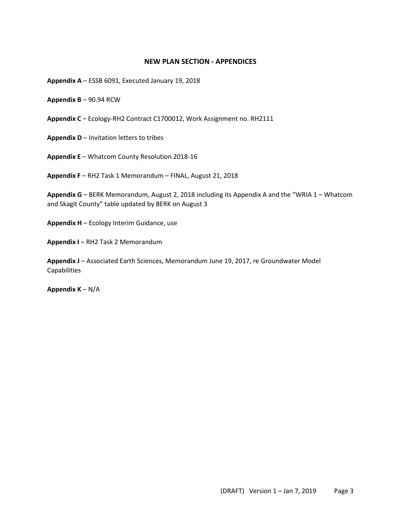### **NEW PLAN SECTION - APPENDICES**

**Appendix A** – ESSB 6091, Executed January 19, 2018

**Appendix B** – 90.94 RCW

**Appendix C** – Ecology-RH2 Contract C1700012, Work Assignment no. RH2111

**Appendix D** – Invitation letters to tribes

**Appendix E** – Whatcom County Resolution 2018-16

**Appendix F** – RH2 Task 1 Memorandum – FINAL, August 21, 2018

**Appendix G** – BERK Memorandum, August 2, 2018 including its Appendix A and the "WRIA 1 – Whatcom and Skagit County" table updated by BERK on August 3

**Appendix H** – Ecology Interim Guidance, use

**Appendix I** – RH2 Task 2 Memorandum

Appendix J - Associated Earth Sciences, Memorandum June 19, 2017, re Groundwater Model **Capabilities** 

**Appendix K** – N/A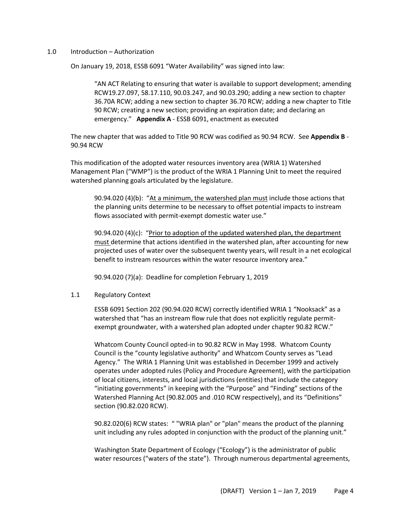#### 1.0 Introduction – Authorization

On January 19, 2018, ESSB 6091 "Water Availability" was signed into law:

"AN ACT Relating to ensuring that water is available to support development; amending RCW19.27.097, 58.17.110, 90.03.247, and 90.03.290; adding a new section to chapter 36.70A RCW; adding a new section to chapter 36.70 RCW; adding a new chapter to Title 90 RCW; creating a new section; providing an expiration date; and declaring an emergency." **Appendix A** - ESSB 6091, enactment as executed

The new chapter that was added to Title 90 RCW was codified as 90.94 RCW. See **Appendix B** - 90.94 RCW

This modification of the adopted water resources inventory area (WRIA 1) Watershed Management Plan ("WMP") is the product of the WRIA 1 Planning Unit to meet the required watershed planning goals articulated by the legislature.

90.94.020 (4)(b): "At a minimum, the watershed plan must include those actions that the planning units determine to be necessary to offset potential impacts to instream flows associated with permit-exempt domestic water use."

90.94.020 (4)(c): "Prior to adoption of the updated watershed plan, the department must determine that actions identified in the watershed plan, after accounting for new projected uses of water over the subsequent twenty years, will result in a net ecological benefit to instream resources within the water resource inventory area."

90.94.020 (7)(a): Deadline for completion February 1, 2019

## 1.1 Regulatory Context

ESSB 6091 Section 202 (90.94.020 RCW) correctly identified WRIA 1 "Nooksack" as a watershed that "has an instream flow rule that does not explicitly regulate permitexempt groundwater, with a watershed plan adopted under chapter 90.82 RCW."

Whatcom County Council opted-in to 90.82 RCW in May 1998. Whatcom County Council is the "county legislative authority" and Whatcom County serves as "Lead Agency." The WRIA 1 Planning Unit was established in December 1999 and actively operates under adopted rules (Policy and Procedure Agreement), with the participation of local citizens, interests, and local jurisdictions (entities) that include the category "initiating governments" in keeping with the "Purpose" and "Finding" sections of the Watershed Planning Act (90.82.005 and .010 RCW respectively), and its "Definitions" section (90.82.020 RCW).

90.82.020(6) RCW states: " "WRIA plan" or "plan" means the product of the planning unit including any rules adopted in conjunction with the product of the planning unit."

Washington State Department of Ecology ("Ecology") is the administrator of public water resources ("waters of the state"). Through numerous departmental agreements,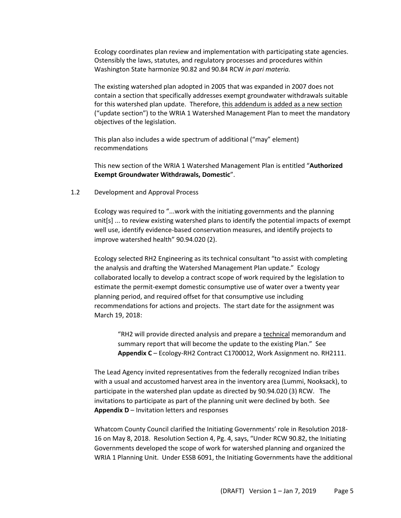Ecology coordinates plan review and implementation with participating state agencies. Ostensibly the laws, statutes, and regulatory processes and procedures within Washington State harmonize 90.82 and 90.84 RCW *in pari materia.*

The existing watershed plan adopted in 2005 that was expanded in 2007 does not contain a section that specifically addresses exempt groundwater withdrawals suitable for this watershed plan update. Therefore, this addendum is added as a new section ("update section") to the WRIA 1 Watershed Management Plan to meet the mandatory objectives of the legislation.

This plan also includes a wide spectrum of additional ("may" element) recommendations

This new section of the WRIA 1 Watershed Management Plan is entitled "**Authorized Exempt Groundwater Withdrawals, Domestic**".

### 1.2 Development and Approval Process

Ecology was required to "...work with the initiating governments and the planning unit[s] ... to review existing watershed plans to identify the potential impacts of exempt well use, identify evidence-based conservation measures, and identify projects to improve watershed health" 90.94.020 (2).

Ecology selected RH2 Engineering as its technical consultant "to assist with completing the analysis and drafting the Watershed Management Plan update." Ecology collaborated locally to develop a contract scope of work required by the legislation to estimate the permit-exempt domestic consumptive use of water over a twenty year planning period, and required offset for that consumptive use including recommendations for actions and projects. The start date for the assignment was March 19, 2018:

"RH2 will provide directed analysis and prepare a technical memorandum and summary report that will become the update to the existing Plan." See **Appendix C** – Ecology-RH2 Contract C1700012, Work Assignment no. RH2111.

The Lead Agency invited representatives from the federally recognized Indian tribes with a usual and accustomed harvest area in the inventory area (Lummi, Nooksack), to participate in the watershed plan update as directed by 90.94.020 (3) RCW. The invitations to participate as part of the planning unit were declined by both. See **Appendix D** – Invitation letters and responses

Whatcom County Council clarified the Initiating Governments' role in Resolution 2018- 16 on May 8, 2018. Resolution Section 4, Pg. 4, says, "Under RCW 90.82, the Initiating Governments developed the scope of work for watershed planning and organized the WRIA 1 Planning Unit. Under ESSB 6091, the Initiating Governments have the additional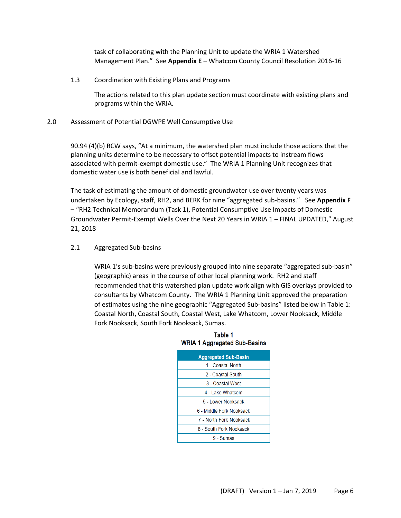task of collaborating with the Planning Unit to update the WRIA 1 Watershed Management Plan." See **Appendix E** – Whatcom County Council Resolution 2016-16

1.3 Coordination with Existing Plans and Programs

The actions related to this plan update section must coordinate with existing plans and programs within the WRIA.

### 2.0 Assessment of Potential DGWPE Well Consumptive Use

90.94 (4)(b) RCW says, "At a minimum, the watershed plan must include those actions that the planning units determine to be necessary to offset potential impacts to instream flows associated with permit-exempt domestic use." The WRIA 1 Planning Unit recognizes that domestic water use is both beneficial and lawful.

The task of estimating the amount of domestic groundwater use over twenty years was undertaken by Ecology, staff, RH2, and BERK for nine "aggregated sub-basins." See Appendix F – "RH2 Technical Memorandum (Task 1), Potential Consumptive Use Impacts of Domestic Groundwater Permit-Exempt Wells Over the Next 20 Years in WRIA 1 – FINAL UPDATED," August 21, 2018

2.1 Aggregated Sub-basins

WRIA 1's sub-basins were previously grouped into nine separate "aggregated sub-basin" (geographic) areas in the course of other local planning work. RH2 and staff recommended that this watershed plan update work align with GIS overlays provided to consultants by Whatcom County. The WRIA 1 Planning Unit approved the preparation of estimates using the nine geographic "Aggregated Sub-basins" listed below in Table 1: Coastal North, Coastal South, Coastal West, Lake Whatcom, Lower Nooksack, Middle Fork Nooksack, South Fork Nooksack, Sumas.

| <b>Aggregated Sub-Basin</b> |  |  |
|-----------------------------|--|--|
| 1 - Coastal North           |  |  |
| 2 - Coastal South           |  |  |
| 3 - Coastal West            |  |  |
| 4 - Lake Whatcom            |  |  |
| 5 - Lower Nooksack          |  |  |
| 6 - Middle Fork Nooksack    |  |  |
| 7 - North Fork Nooksack     |  |  |
| 8 - South Fork Nooksack     |  |  |
| 9 - Sumas                   |  |  |

## Table 1 **WRIA 1 Aggregated Sub-Basins**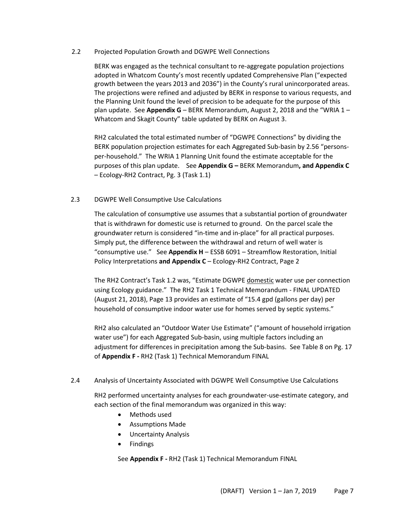## 2.2 Projected Population Growth and DGWPE Well Connections

BERK was engaged as the technical consultant to re-aggregate population projections adopted in Whatcom County's most recently updated Comprehensive Plan ("expected growth between the years 2013 and 2036") in the County's rural unincorporated areas. The projections were refined and adjusted by BERK in response to various requests, and the Planning Unit found the level of precision to be adequate for the purpose of this plan update. See **Appendix G** – BERK Memorandum, August 2, 2018 and the "WRIA 1 – Whatcom and Skagit County" table updated by BERK on August 3.

RH2 calculated the total estimated number of "DGWPE Connections" by dividing the BERK population projection estimates for each Aggregated Sub-basin by 2.56 "personsper-household." The WRIA 1 Planning Unit found the estimate acceptable for the purposes of this plan update. See **Appendix G –** BERK Memorandum**, and Appendix C**  – Ecology-RH2 Contract, Pg. 3 (Task 1.1)

## 2.3 DGWPE Well Consumptive Use Calculations

The calculation of consumptive use assumes that a substantial portion of groundwater that is withdrawn for domestic use is returned to ground. On the parcel scale the groundwater return is considered "in-time and in-place" for all practical purposes. Simply put, the difference between the withdrawal and return of well water is "consumptive use." See **Appendix H** – ESSB 6091 – Streamflow Restoration, Initial Policy Interpretations **and Appendix C** – Ecology-RH2 Contract, Page 2

The RH2 Contract's Task 1.2 was, "Estimate DGWPE domestic water use per connection using Ecology guidance." The RH2 Task 1 Technical Memorandum - FINAL UPDATED (August 21, 2018), Page 13 provides an estimate of "15.4 gpd (gallons per day) per household of consumptive indoor water use for homes served by septic systems."

RH2 also calculated an "Outdoor Water Use Estimate" ("amount of household irrigation water use") for each Aggregated Sub-basin, using multiple factors including an adjustment for differences in precipitation among the Sub-basins. See Table 8 on Pg. 17 of **Appendix F -** RH2 (Task 1) Technical Memorandum FINAL

## 2.4 Analysis of Uncertainty Associated with DGWPE Well Consumptive Use Calculations

RH2 performed uncertainty analyses for each groundwater-use-estimate category, and each section of the final memorandum was organized in this way:

- Methods used
- Assumptions Made
- Uncertainty Analysis
- Findings

See **Appendix F -** RH2 (Task 1) Technical Memorandum FINAL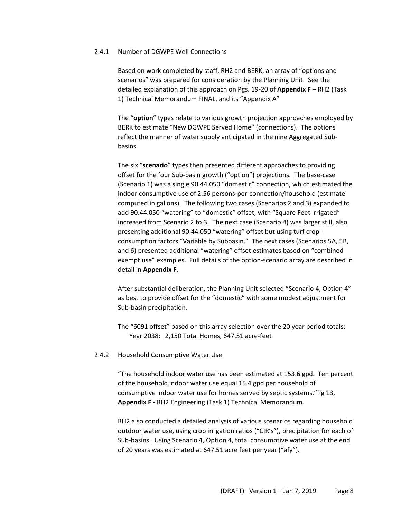#### 2.4.1 Number of DGWPE Well Connections

Based on work completed by staff, RH2 and BERK, an array of "options and scenarios" was prepared for consideration by the Planning Unit. See the detailed explanation of this approach on Pgs. 19-20 of **Appendix F** – RH2 (Task 1) Technical Memorandum FINAL, and its "Appendix A"

The "**option**" types relate to various growth projection approaches employed by BERK to estimate "New DGWPE Served Home" (connections). The options reflect the manner of water supply anticipated in the nine Aggregated Subbasins.

The six "**scenario**" types then presented different approaches to providing offset for the four Sub-basin growth ("option") projections. The base-case (Scenario 1) was a single 90.44.050 "domestic" connection, which estimated the indoor consumptive use of 2.56 persons-per-connection/household (estimate computed in gallons). The following two cases (Scenarios 2 and 3) expanded to add 90.44.050 "watering" to "domestic" offset, with "Square Feet Irrigated" increased from Scenario 2 to 3. The next case (Scenario 4) was larger still, also presenting additional 90.44.050 "watering" offset but using turf cropconsumption factors "Variable by Subbasin." The next cases (Scenarios 5A, 5B, and 6) presented additional "watering" offset estimates based on "combined exempt use" examples. Full details of the option-scenario array are described in detail in **Appendix F**.

After substantial deliberation, the Planning Unit selected "Scenario 4, Option 4" as best to provide offset for the "domestic" with some modest adjustment for Sub-basin precipitation.

The "6091 offset" based on this array selection over the 20 year period totals: Year 2038: 2,150 Total Homes, 647.51 acre-feet

#### 2.4.2 Household Consumptive Water Use

"The household indoor water use has been estimated at 153.6 gpd. Ten percent of the household indoor water use equal 15.4 gpd per household of consumptive indoor water use for homes served by septic systems."Pg 13, **Appendix F -** RH2 Engineering (Task 1) Technical Memorandum.

RH2 also conducted a detailed analysis of various scenarios regarding household outdoor water use, using crop irrigation ratios ("CIR's"), precipitation for each of Sub-basins. Using Scenario 4, Option 4, total consumptive water use at the end of 20 years was estimated at 647.51 acre feet per year ("afy").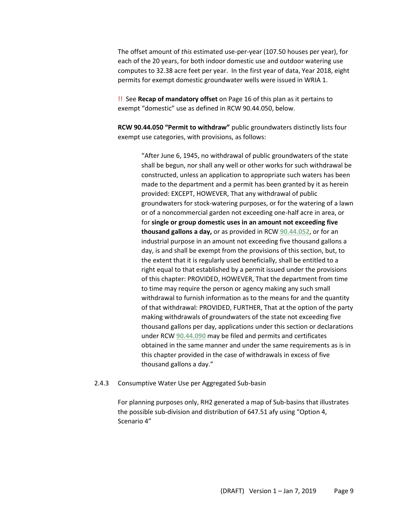The offset amount of *this* estimated use-per-year (107.50 houses per year), for each of the 20 years, for both indoor domestic use and outdoor watering use computes to 32.38 acre feet per year. In the first year of data, Year 2018, eight permits for exempt domestic groundwater wells were issued in WRIA 1.

!! See **Recap of mandatory offset** on Page 16 of this plan as it pertains to exempt "domestic" use as defined in RCW 90.44.050, below.

**RCW 90.44.050 "Permit to withdraw"** public groundwaters distinctly lists four exempt use categories, with provisions, as follows:

> "After June 6, 1945, no withdrawal of public groundwaters of the state shall be begun, nor shall any well or other works for such withdrawal be constructed, unless an application to appropriate such waters has been made to the department and a permit has been granted by it as herein provided: EXCEPT, HOWEVER, That any withdrawal of public groundwaters for stock-watering purposes, or for the watering of a lawn or of a noncommercial garden not exceeding one-half acre in area, or for **single or group domestic uses in an amount not exceeding five thousand gallons a day,** or as provided in RCW **[90.44.052](http://app.leg.wa.gov/RCW/default.aspx?cite=90.44.052)**, or for an industrial purpose in an amount not exceeding five thousand gallons a day, is and shall be exempt from the provisions of this section, but, to the extent that it is regularly used beneficially, shall be entitled to a right equal to that established by a permit issued under the provisions of this chapter: PROVIDED, HOWEVER, That the department from time to time may require the person or agency making any such small withdrawal to furnish information as to the means for and the quantity of that withdrawal: PROVIDED, FURTHER, That at the option of the party making withdrawals of groundwaters of the state not exceeding five thousand gallons per day, applications under this section or declarations under RCW **[90.44.090](http://app.leg.wa.gov/RCW/default.aspx?cite=90.44.090)** may be filed and permits and certificates obtained in the same manner and under the same requirements as is in this chapter provided in the case of withdrawals in excess of five thousand gallons a day."

#### 2.4.3 Consumptive Water Use per Aggregated Sub-basin

For planning purposes only, RH2 generated a map of Sub-basins that illustrates the possible sub-division and distribution of 647.51 afy using "Option 4, Scenario 4"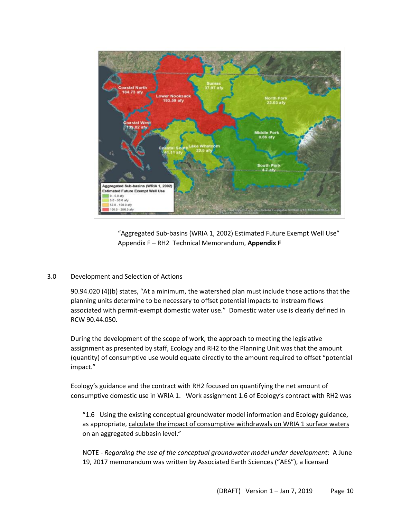

"Aggregated Sub-basins (WRIA 1, 2002) Estimated Future Exempt Well Use" Appendix F – RH2 Technical Memorandum, **Appendix F**

## 3.0 Development and Selection of Actions

90.94.020 (4)(b) states, "At a minimum, the watershed plan must include those actions that the planning units determine to be necessary to offset potential impacts to instream flows associated with permit-exempt domestic water use." Domestic water use is clearly defined in RCW 90.44.050.

During the development of the scope of work, the approach to meeting the legislative assignment as presented by staff, Ecology and RH2 to the Planning Unit was that the amount (quantity) of consumptive use would equate directly to the amount required to offset "potential impact."

Ecology's guidance and the contract with RH2 focused on quantifying the net amount of consumptive domestic use in WRIA 1. Work assignment 1.6 of Ecology's contract with RH2 was

"1.6 Using the existing conceptual groundwater model information and Ecology guidance, as appropriate, calculate the impact of consumptive withdrawals on WRIA 1 surface waters on an aggregated subbasin level."

NOTE - *Regarding the use of the conceptual groundwater model under development*: A June 19, 2017 memorandum was written by Associated Earth Sciences ("AES"), a licensed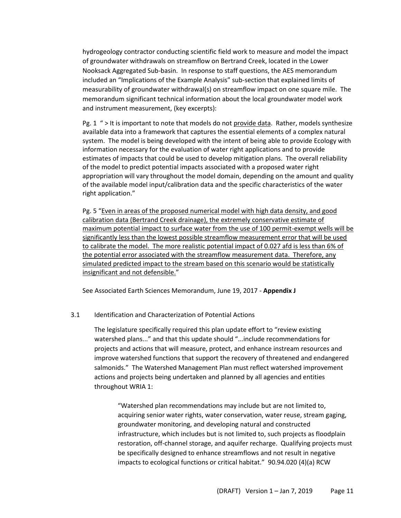hydrogeology contractor conducting scientific field work to measure and model the impact of groundwater withdrawals on streamflow on Bertrand Creek, located in the Lower Nooksack Aggregated Sub-basin. In response to staff questions, the AES memorandum included an "Implications of the Example Analysis" sub-section that explained limits of measurability of groundwater withdrawal(s) on streamflow impact on one square mile. The memorandum significant technical information about the local groundwater model work and instrument measurement, (key excerpts):

Pg. 1 " > It is important to note that models do not provide data. Rather, models synthesize available data into a framework that captures the essential elements of a complex natural system. The model is being developed with the intent of being able to provide Ecology with information necessary for the evaluation of water right applications and to provide estimates of impacts that could be used to develop mitigation plans. The overall reliability of the model to predict potential impacts associated with a proposed water right appropriation will vary throughout the model domain, depending on the amount and quality of the available model input/calibration data and the specific characteristics of the water right application."

Pg. 5 "Even in areas of the proposed numerical model with high data density, and good calibration data (Bertrand Creek drainage), the extremely conservative estimate of maximum potential impact to surface water from the use of 100 permit-exempt wells will be significantly less than the lowest possible streamflow measurement error that will be used to calibrate the model. The more realistic potential impact of 0.027 afd is less than 6% of the potential error associated with the streamflow measurement data. Therefore, any simulated predicted impact to the stream based on this scenario would be statistically insignificant and not defensible."

See Associated Earth Sciences Memorandum, June 19, 2017 - **Appendix J**

## 3.1 Identification and Characterization of Potential Actions

The legislature specifically required this plan update effort to "review existing watershed plans..." and that this update should "...include recommendations for projects and actions that will measure, protect, and enhance instream resources and improve watershed functions that support the recovery of threatened and endangered salmonids." The Watershed Management Plan must reflect watershed improvement actions and projects being undertaken and planned by all agencies and entities throughout WRIA 1:

"Watershed plan recommendations may include but are not limited to, acquiring senior water rights, water conservation, water reuse, stream gaging, groundwater monitoring, and developing natural and constructed infrastructure, which includes but is not limited to, such projects as floodplain restoration, off-channel storage, and aquifer recharge. Qualifying projects must be specifically designed to enhance streamflows and not result in negative impacts to ecological functions or critical habitat." 90.94.020 (4)(a) RCW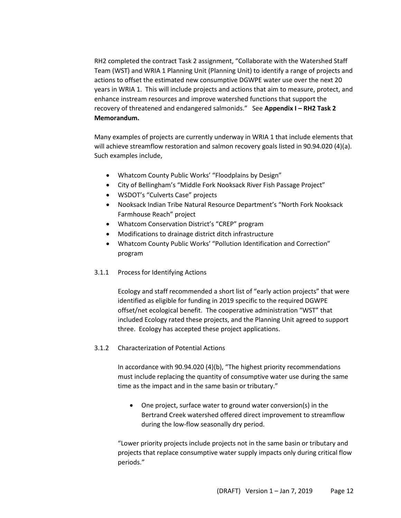RH2 completed the contract Task 2 assignment, "Collaborate with the Watershed Staff Team (WST) and WRIA 1 Planning Unit (Planning Unit) to identify a range of projects and actions to offset the estimated new consumptive DGWPE water use over the next 20 years in WRIA 1. This will include projects and actions that aim to measure, protect, and enhance instream resources and improve watershed functions that support the recovery of threatened and endangered salmonids." See **Appendix I – RH2 Task 2 Memorandum.**

Many examples of projects are currently underway in WRIA 1 that include elements that will achieve streamflow restoration and salmon recovery goals listed in 90.94.020 (4)(a). Such examples include,

- Whatcom County Public Works' "Floodplains by Design"
- City of Bellingham's "Middle Fork Nooksack River Fish Passage Project"
- WSDOT's "Culverts Case" projects
- Nooksack Indian Tribe Natural Resource Department's "North Fork Nooksack Farmhouse Reach" project
- Whatcom Conservation District's "CREP" program
- Modifications to drainage district ditch infrastructure
- Whatcom County Public Works' "Pollution Identification and Correction" program
- 3.1.1 Process for Identifying Actions

Ecology and staff recommended a short list of "early action projects" that were identified as eligible for funding in 2019 specific to the required DGWPE offset/net ecological benefit. The cooperative administration "WST" that included Ecology rated these projects, and the Planning Unit agreed to support three. Ecology has accepted these project applications.

3.1.2 Characterization of Potential Actions

In accordance with 90.94.020 (4)(b), "The highest priority recommendations must include replacing the quantity of consumptive water use during the same time as the impact and in the same basin or tributary."

• One project, surface water to ground water conversion(s) in the Bertrand Creek watershed offered direct improvement to streamflow during the low-flow seasonally dry period.

"Lower priority projects include projects not in the same basin or tributary and projects that replace consumptive water supply impacts only during critical flow periods."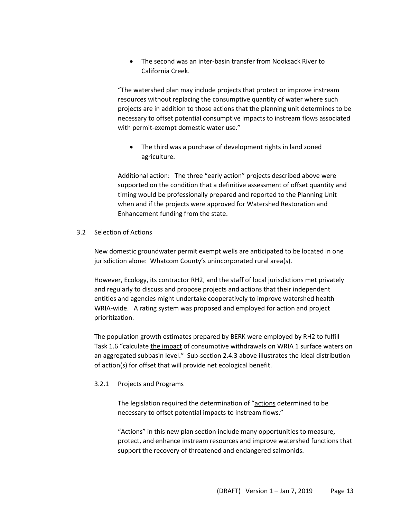• The second was an inter-basin transfer from Nooksack River to California Creek.

"The watershed plan may include projects that protect or improve instream resources without replacing the consumptive quantity of water where such projects are in addition to those actions that the planning unit determines to be necessary to offset potential consumptive impacts to instream flows associated with permit-exempt domestic water use."

• The third was a purchase of development rights in land zoned agriculture.

Additional action: The three "early action" projects described above were supported on the condition that a definitive assessment of offset quantity and timing would be professionally prepared and reported to the Planning Unit when and if the projects were approved for Watershed Restoration and Enhancement funding from the state.

## 3.2 Selection of Actions

New domestic groundwater permit exempt wells are anticipated to be located in one jurisdiction alone: Whatcom County's unincorporated rural area(s).

However, Ecology, its contractor RH2, and the staff of local jurisdictions met privately and regularly to discuss and propose projects and actions that their independent entities and agencies might undertake cooperatively to improve watershed health WRIA-wide. A rating system was proposed and employed for action and project prioritization.

The population growth estimates prepared by BERK were employed by RH2 to fulfill Task 1.6 "calculate the impact of consumptive withdrawals on WRIA 1 surface waters on an aggregated subbasin level." Sub-section 2.4.3 above illustrates the ideal distribution of action(s) for offset that will provide net ecological benefit.

# 3.2.1 Projects and Programs

The legislation required the determination of "actions determined to be necessary to offset potential impacts to instream flows."

"Actions" in this new plan section include many opportunities to measure, protect, and enhance instream resources and improve watershed functions that support the recovery of threatened and endangered salmonids.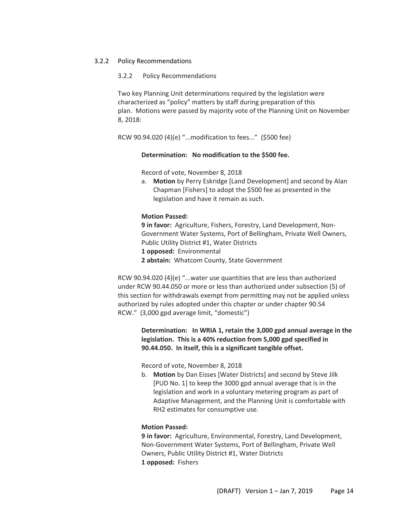#### 3.2.2 Policy Recommendations

#### 3.2.2 Policy Recommendations

Two key Planning Unit determinations required by the legislation were characterized as "policy" matters by staff during preparation of this plan. Motions were passed by majority vote of the Planning Unit on November 8, 2018:

RCW 90.94.020 (4)(e) "...modification to fees..." (\$500 fee)

### **Determination: No modification to the \$500 fee.**

Record of vote, November 8, 2018

a. **Motion** by Perry Eskridge [Land Development] and second by Alan Chapman [Fishers] to adopt the \$500 fee as presented in the legislation and have it remain as such.

### **Motion Passed:**

**9 in favor:** Agriculture, Fishers, Forestry, Land Development, Non-Government Water Systems, Port of Bellingham, Private Well Owners, Public Utility District #1, Water Districts **1 opposed:** Environmental **2 abstain:** Whatcom County, State Government

RCW 90.94.020 (4)(e) "...water use quantities that are less than authorized under RCW 90.44.050 or more or less than authorized under subsection (5) of this section for withdrawals exempt from permitting may not be applied unless authorized by rules adopted under this chapter or under chapter 90.54 RCW." (3,000 gpd average limit, "domestic")

> **Determination: In WRIA 1, retain the 3,000 gpd annual average in the legislation. This is a 40% reduction from 5,000 gpd specified in 90.44.050. In itself, this is a significant tangible offset.**

Record of vote, November 8, 2018

b. **Motion** by Dan Eisses [Water Districts] and second by Steve Jilk [PUD No. 1] to keep the 3000 gpd annual average that is in the legislation and work in a voluntary metering program as part of Adaptive Management, and the Planning Unit is comfortable with RH2 estimates for consumptive use.

## **Motion Passed:**

**9 in favor:** Agriculture, Environmental, Forestry, Land Development, Non-Government Water Systems, Port of Bellingham, Private Well Owners, Public Utility District #1, Water Districts **1 opposed:** Fishers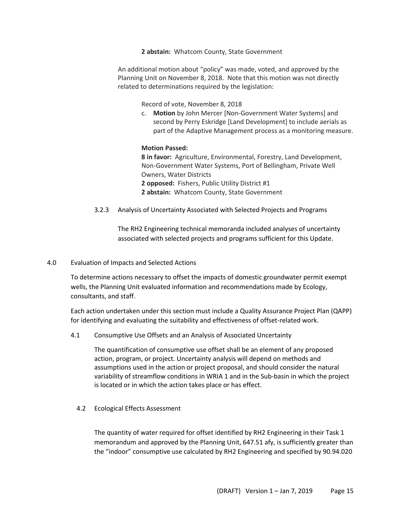**2 abstain:** Whatcom County, State Government

An additional motion about "policy" was made, voted, and approved by the Planning Unit on November 8, 2018. Note that this motion was not directly related to determinations required by the legislation:

Record of vote, November 8, 2018

c. **Motion** by John Mercer [Non-Government Water Systems] and second by Perry Eskridge [Land Development] to include aerials as part of the Adaptive Management process as a monitoring measure.

### **Motion Passed:**

**8 in favor:** Agriculture, Environmental, Forestry, Land Development, Non-Government Water Systems, Port of Bellingham, Private Well Owners, Water Districts **2 opposed:** Fishers, Public Utility District #1 **2 abstain:** Whatcom County, State Government

3.2.3 Analysis of Uncertainty Associated with Selected Projects and Programs

The RH2 Engineering technical memoranda included analyses of uncertainty associated with selected projects and programs sufficient for this Update.

#### 4.0 Evaluation of Impacts and Selected Actions

To determine actions necessary to offset the impacts of domestic groundwater permit exempt wells, the Planning Unit evaluated information and recommendations made by Ecology, consultants, and staff.

Each action undertaken under this section must include a Quality Assurance Project Plan (QAPP) for identifying and evaluating the suitability and effectiveness of offset-related work.

4.1 Consumptive Use Offsets and an Analysis of Associated Uncertainty

The quantification of consumptive use offset shall be an element of any proposed action, program, or project. Uncertainty analysis will depend on methods and assumptions used in the action or project proposal, and should consider the natural variability of streamflow conditions in WRIA 1 and in the Sub-basin in which the project is located or in which the action takes place or has effect.

4.2 Ecological Effects Assessment

The quantity of water required for offset identified by RH2 Engineering in their Task 1 memorandum and approved by the Planning Unit, 647.51 afy, is sufficiently greater than the "indoor" consumptive use calculated by RH2 Engineering and specified by 90.94.020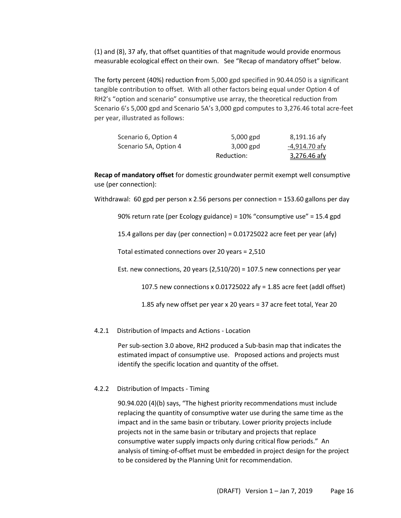(1) and (8), 37 afy, that offset quantities of that magnitude would provide enormous measurable ecological effect on their own. See "Recap of mandatory offset" below.

The forty percent (40%) reduction **f**rom 5,000 gpd specified in 90.44.050 is a significant tangible contribution to offset. With all other factors being equal under Option 4 of RH2's "option and scenario" consumptive use array, the theoretical reduction from Scenario 6's 5,000 gpd and Scenario 5A's 3,000 gpd computes to 3,276.46 total acre-feet per year, illustrated as follows:

| Scenario 6, Option 4  | 5,000 gpd   | 8,191.16 afy        |
|-----------------------|-------------|---------------------|
| Scenario 5A, Option 4 | $3,000$ gpd | $-4,914.70$ afy     |
|                       | Reduction:  | <u>3,276.46 afy</u> |

**Recap of mandatory offset** for domestic groundwater permit exempt well consumptive use (per connection):

Withdrawal: 60 gpd per person x 2.56 persons per connection = 153.60 gallons per day

90% return rate (per Ecology guidance) = 10% "consumptive use" = 15.4 gpd

15.4 gallons per day (per connection) = 0.01725022 acre feet per year (afy)

Total estimated connections over 20 years = 2,510

Est. new connections, 20 years  $(2,510/20) = 107.5$  new connections per year

107.5 new connections x 0.01725022 afy = 1.85 acre feet (addl offset)

1.85 afy new offset per year x 20 years = 37 acre feet total, Year 20

4.2.1 Distribution of Impacts and Actions - Location

Per sub-section 3.0 above, RH2 produced a Sub-basin map that indicates the estimated impact of consumptive use. Proposed actions and projects must identify the specific location and quantity of the offset.

#### 4.2.2 Distribution of Impacts - Timing

90.94.020 (4)(b) says, "The highest priority recommendations must include replacing the quantity of consumptive water use during the same time as the impact and in the same basin or tributary. Lower priority projects include projects not in the same basin or tributary and projects that replace consumptive water supply impacts only during critical flow periods." An analysis of timing-of-offset must be embedded in project design for the project to be considered by the Planning Unit for recommendation.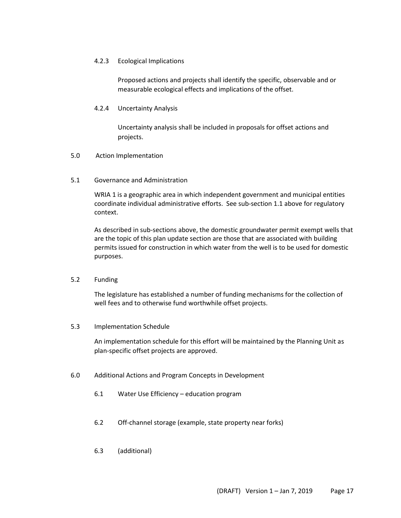## 4.2.3 Ecological Implications

Proposed actions and projects shall identify the specific, observable and or measurable ecological effects and implications of the offset.

## 4.2.4 Uncertainty Analysis

Uncertainty analysis shall be included in proposals for offset actions and projects.

### 5.0 Action Implementation

5.1 Governance and Administration

WRIA 1 is a geographic area in which independent government and municipal entities coordinate individual administrative efforts. See sub-section 1.1 above for regulatory context.

As described in sub-sections above, the domestic groundwater permit exempt wells that are the topic of this plan update section are those that are associated with building permits issued for construction in which water from the well is to be used for domestic purposes.

#### 5.2 Funding

The legislature has established a number of funding mechanisms for the collection of well fees and to otherwise fund worthwhile offset projects.

#### 5.3 Implementation Schedule

An implementation schedule for this effort will be maintained by the Planning Unit as plan-specific offset projects are approved.

- 6.0 Additional Actions and Program Concepts in Development
	- 6.1 Water Use Efficiency education program
	- 6.2 Off-channel storage (example, state property near forks)
	- 6.3 (additional)